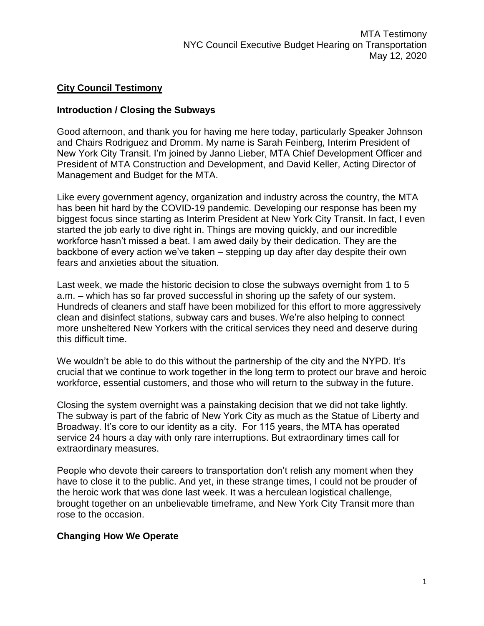## **City Council Testimony**

### **Introduction / Closing the Subways**

Good afternoon, and thank you for having me here today, particularly Speaker Johnson and Chairs Rodriguez and Dromm. My name is Sarah Feinberg, Interim President of New York City Transit. I'm joined by Janno Lieber, MTA Chief Development Officer and President of MTA Construction and Development, and David Keller, Acting Director of Management and Budget for the MTA.

Like every government agency, organization and industry across the country, the MTA has been hit hard by the COVID-19 pandemic. Developing our response has been my biggest focus since starting as Interim President at New York City Transit. In fact, I even started the job early to dive right in. Things are moving quickly, and our incredible workforce hasn't missed a beat. I am awed daily by their dedication. They are the backbone of every action we've taken – stepping up day after day despite their own fears and anxieties about the situation.

Last week, we made the historic decision to close the subways overnight from 1 to 5 a.m. – which has so far proved successful in shoring up the safety of our system. Hundreds of cleaners and staff have been mobilized for this effort to more aggressively clean and disinfect stations, subway cars and buses. We're also helping to connect more unsheltered New Yorkers with the critical services they need and deserve during this difficult time.

We wouldn't be able to do this without the partnership of the city and the NYPD. It's crucial that we continue to work together in the long term to protect our brave and heroic workforce, essential customers, and those who will return to the subway in the future.

Closing the system overnight was a painstaking decision that we did not take lightly. The subway is part of the fabric of New York City as much as the Statue of Liberty and Broadway. It's core to our identity as a city. For 115 years, the MTA has operated service 24 hours a day with only rare interruptions. But extraordinary times call for extraordinary measures.

People who devote their careers to transportation don't relish any moment when they have to close it to the public. And yet, in these strange times, I could not be prouder of the heroic work that was done last week. It was a herculean logistical challenge, brought together on an unbelievable timeframe, and New York City Transit more than rose to the occasion.

### **Changing How We Operate**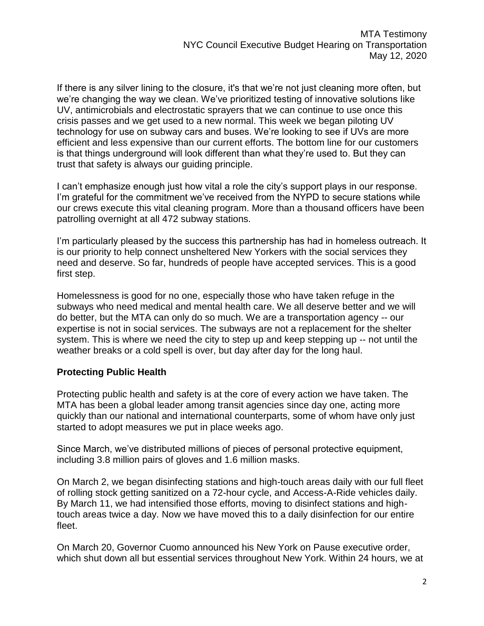If there is any silver lining to the closure, it's that we're not just cleaning more often, but we're changing the way we clean. We've prioritized testing of innovative solutions like UV, antimicrobials and electrostatic sprayers that we can continue to use once this crisis passes and we get used to a new normal. This week we began piloting UV technology for use on subway cars and buses. We're looking to see if UVs are more efficient and less expensive than our current efforts. The bottom line for our customers is that things underground will look different than what they're used to. But they can trust that safety is always our guiding principle.

I can't emphasize enough just how vital a role the city's support plays in our response. I'm grateful for the commitment we've received from the NYPD to secure stations while our crews execute this vital cleaning program. More than a thousand officers have been patrolling overnight at all 472 subway stations.

I'm particularly pleased by the success this partnership has had in homeless outreach. It is our priority to help connect unsheltered New Yorkers with the social services they need and deserve. So far, hundreds of people have accepted services. This is a good first step.

Homelessness is good for no one, especially those who have taken refuge in the subways who need medical and mental health care. We all deserve better and we will do better, but the MTA can only do so much. We are a transportation agency -- our expertise is not in social services. The subways are not a replacement for the shelter system. This is where we need the city to step up and keep stepping up -- not until the weather breaks or a cold spell is over, but day after day for the long haul.

# **Protecting Public Health**

Protecting public health and safety is at the core of every action we have taken. The MTA has been a global leader among transit agencies since day one, acting more quickly than our national and international counterparts, some of whom have only just started to adopt measures we put in place weeks ago.

Since March, we've distributed millions of pieces of personal protective equipment, including 3.8 million pairs of gloves and 1.6 million masks.

On March 2, we began disinfecting stations and high-touch areas daily with our full fleet of rolling stock getting sanitized on a 72-hour cycle, and Access-A-Ride vehicles daily. By March 11, we had intensified those efforts, moving to disinfect stations and hightouch areas twice a day. Now we have moved this to a daily disinfection for our entire fleet.

On March 20, Governor Cuomo announced his New York on Pause executive order, which shut down all but essential services throughout New York. Within 24 hours, we at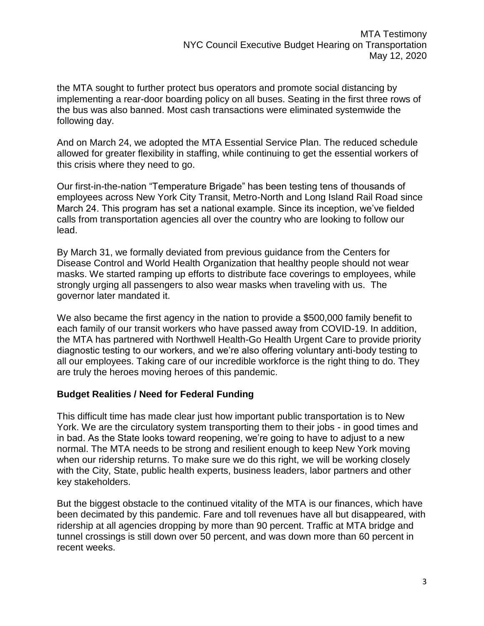the MTA sought to further protect bus operators and promote social distancing by implementing a rear-door boarding policy on all buses. Seating in the first three rows of the bus was also banned. Most cash transactions were eliminated systemwide the following day.

And on March 24, we adopted the MTA Essential Service Plan. The reduced schedule allowed for greater flexibility in staffing, while continuing to get the essential workers of this crisis where they need to go.

Our first-in-the-nation "Temperature Brigade" has been testing tens of thousands of employees across New York City Transit, Metro-North and Long Island Rail Road since March 24. This program has set a national example. Since its inception, we've fielded calls from transportation agencies all over the country who are looking to follow our lead.

By March 31, we formally deviated from previous guidance from the Centers for Disease Control and World Health Organization that healthy people should not wear masks. We started ramping up efforts to distribute face coverings to employees, while strongly urging all passengers to also wear masks when traveling with us. The governor later mandated it.

We also became the first agency in the nation to provide a \$500,000 family benefit to each family of our transit workers who have passed away from COVID-19. In addition, the MTA has partnered with Northwell Health-Go Health Urgent Care to provide priority diagnostic testing to our workers, and we're also offering voluntary anti-body testing to all our employees. Taking care of our incredible workforce is the right thing to do. They are truly the heroes moving heroes of this pandemic.

### **Budget Realities / Need for Federal Funding**

This difficult time has made clear just how important public transportation is to New York. We are the circulatory system transporting them to their jobs - in good times and in bad. As the State looks toward reopening, we're going to have to adjust to a new normal. The MTA needs to be strong and resilient enough to keep New York moving when our ridership returns. To make sure we do this right, we will be working closely with the City, State, public health experts, business leaders, labor partners and other key stakeholders.

But the biggest obstacle to the continued vitality of the MTA is our finances, which have been decimated by this pandemic. Fare and toll revenues have all but disappeared, with ridership at all agencies dropping by more than 90 percent. Traffic at MTA bridge and tunnel crossings is still down over 50 percent, and was down more than 60 percent in recent weeks.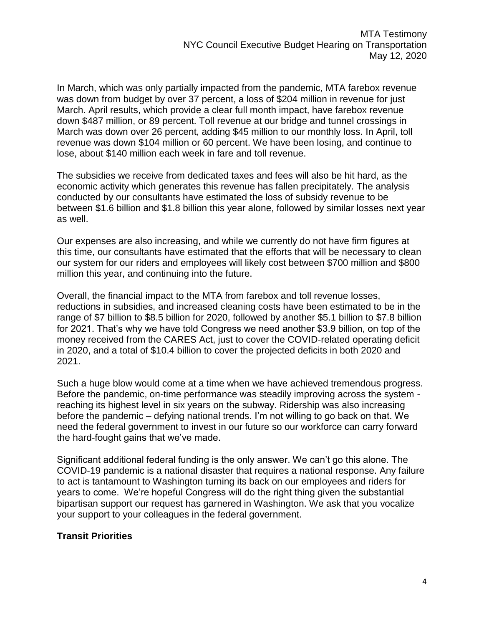In March, which was only partially impacted from the pandemic, MTA farebox revenue was down from budget by over 37 percent, a loss of \$204 million in revenue for just March. April results, which provide a clear full month impact, have farebox revenue down \$487 million, or 89 percent. Toll revenue at our bridge and tunnel crossings in March was down over 26 percent, adding \$45 million to our monthly loss. In April, toll revenue was down \$104 million or 60 percent. We have been losing, and continue to lose, about \$140 million each week in fare and toll revenue.

The subsidies we receive from dedicated taxes and fees will also be hit hard, as the economic activity which generates this revenue has fallen precipitately. The analysis conducted by our consultants have estimated the loss of subsidy revenue to be between \$1.6 billion and \$1.8 billion this year alone, followed by similar losses next year as well.

Our expenses are also increasing, and while we currently do not have firm figures at this time, our consultants have estimated that the efforts that will be necessary to clean our system for our riders and employees will likely cost between \$700 million and \$800 million this year, and continuing into the future.

Overall, the financial impact to the MTA from farebox and toll revenue losses, reductions in subsidies, and increased cleaning costs have been estimated to be in the range of \$7 billion to \$8.5 billion for 2020, followed by another \$5.1 billion to \$7.8 billion for 2021. That's why we have told Congress we need another \$3.9 billion, on top of the money received from the CARES Act, just to cover the COVID-related operating deficit in 2020, and a total of \$10.4 billion to cover the projected deficits in both 2020 and 2021.

Such a huge blow would come at a time when we have achieved tremendous progress. Before the pandemic, on-time performance was steadily improving across the system reaching its highest level in six years on the subway. Ridership was also increasing before the pandemic – defying national trends. I'm not willing to go back on that. We need the federal government to invest in our future so our workforce can carry forward the hard-fought gains that we've made.

Significant additional federal funding is the only answer. We can't go this alone. The COVID-19 pandemic is a national disaster that requires a national response. Any failure to act is tantamount to Washington turning its back on our employees and riders for years to come. We're hopeful Congress will do the right thing given the substantial bipartisan support our request has garnered in Washington. We ask that you vocalize your support to your colleagues in the federal government.

### **Transit Priorities**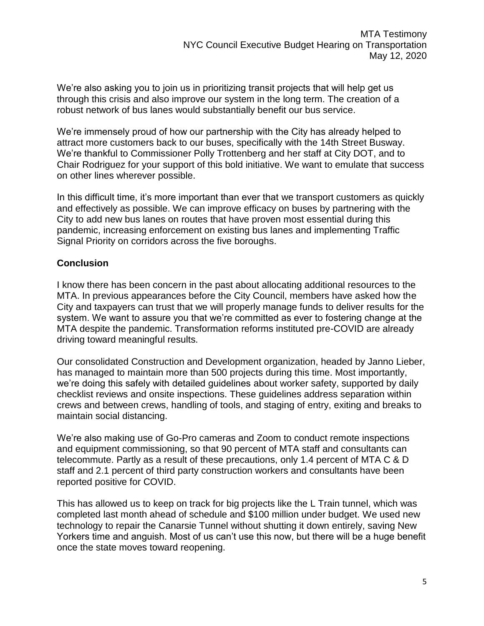We're also asking you to join us in prioritizing transit projects that will help get us through this crisis and also improve our system in the long term. The creation of a robust network of bus lanes would substantially benefit our bus service.

We're immensely proud of how our partnership with the City has already helped to attract more customers back to our buses, specifically with the 14th Street Busway. We're thankful to Commissioner Polly Trottenberg and her staff at City DOT, and to Chair Rodriguez for your support of this bold initiative. We want to emulate that success on other lines wherever possible.

In this difficult time, it's more important than ever that we transport customers as quickly and effectively as possible. We can improve efficacy on buses by partnering with the City to add new bus lanes on routes that have proven most essential during this pandemic, increasing enforcement on existing bus lanes and implementing Traffic Signal Priority on corridors across the five boroughs.

### **Conclusion**

I know there has been concern in the past about allocating additional resources to the MTA. In previous appearances before the City Council, members have asked how the City and taxpayers can trust that we will properly manage funds to deliver results for the system. We want to assure you that we're committed as ever to fostering change at the MTA despite the pandemic. Transformation reforms instituted pre-COVID are already driving toward meaningful results.

Our consolidated Construction and Development organization, headed by Janno Lieber, has managed to maintain more than 500 projects during this time. Most importantly, we're doing this safely with detailed guidelines about worker safety, supported by daily checklist reviews and onsite inspections. These guidelines address separation within crews and between crews, handling of tools, and staging of entry, exiting and breaks to maintain social distancing.

We're also making use of Go-Pro cameras and Zoom to conduct remote inspections and equipment commissioning, so that 90 percent of MTA staff and consultants can telecommute. Partly as a result of these precautions, only 1.4 percent of MTA C & D staff and 2.1 percent of third party construction workers and consultants have been reported positive for COVID.

This has allowed us to keep on track for big projects like the L Train tunnel, which was completed last month ahead of schedule and \$100 million under budget. We used new technology to repair the Canarsie Tunnel without shutting it down entirely, saving New Yorkers time and anguish. Most of us can't use this now, but there will be a huge benefit once the state moves toward reopening.